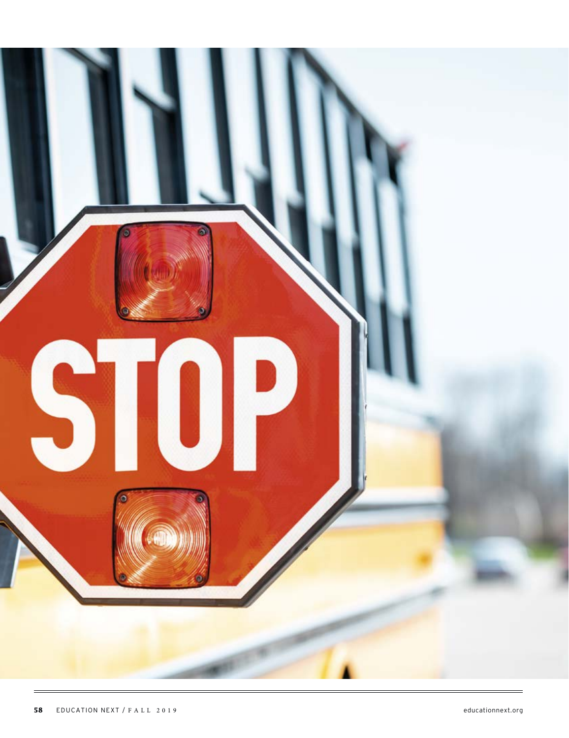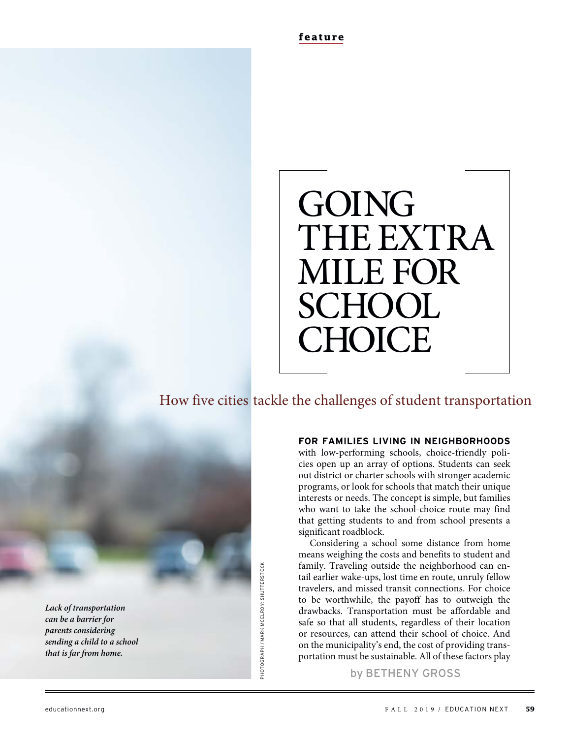# GOING THE EXTRA MILE FOR **SCHOOL CHOICE**

# How five cities tackle the challenges of student transportation

## **FOR FAMILIES LIVING IN NEIGHBORHOODS**

with low-performing schools, choice-friendly policies open up an array of options. Students can seek out district or charter schools with stronger academic programs, or look for schools that match their unique interests or needs. The concept is simple, but families who want to take the school-choice route may find that getting students to and from school presents a significant roadblock.

Considering a school some distance from home means weighing the costs and benefits to student and family. Traveling outside the neighborhood can entail earlier wake-ups, lost time en route, unruly fellow travelers, and missed transit connections. For choice to be worthwhile, the payoff has to outweigh the drawbacks. Transportation must be affordable and safe so that all students, regardless of their location or resources, can attend their school of choice. And on the municipality's end, the cost of providing transportation must be sustainable. All of these factors play

by BETHENY GROSS

*Lack of transportation can be a barrier for parents considering sending a child to a school that is far from home.*

PHOTOGRAPH / MARK MCELROY; SHUTTERSTOCK PHOTOGRAPH / MARK MCELROY; SHUTTERSTOCK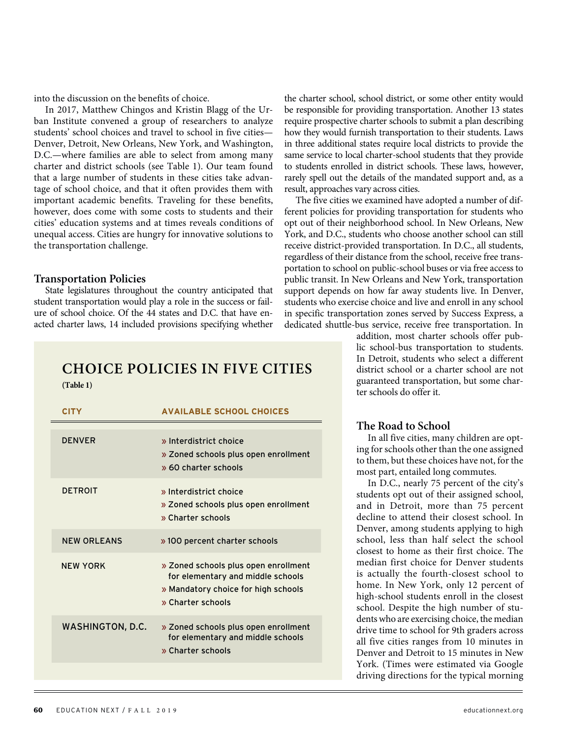into the discussion on the benefits of choice.

In 2017, Matthew Chingos and Kristin Blagg of the Urban Institute convened a group of researchers to analyze students' school choices and travel to school in five cities— Denver, Detroit, New Orleans, New York, and Washington, D.C.—where families are able to select from among many charter and district schools (see Table 1). Our team found that a large number of students in these cities take advantage of school choice, and that it often provides them with important academic benefits. Traveling for these benefits, however, does come with some costs to students and their cities' education systems and at times reveals conditions of unequal access. Cities are hungry for innovative solutions to the transportation challenge.

#### **Transportation Policies**

State legislatures throughout the country anticipated that student transportation would play a role in the success or failure of school choice. Of the 44 states and D.C. that have enacted charter laws, 14 included provisions specifying whether

# **CHOICE POLICIES IN FIVE CITIES (Table 1)**

|  | CITY                    | <b>AVAILABLE SCHOOL CHOICES</b>                                                                                                       |
|--|-------------------------|---------------------------------------------------------------------------------------------------------------------------------------|
|  | <b>DENVER</b>           | » Interdistrict choice<br>» Zoned schools plus open enrollment<br>» 60 charter schools                                                |
|  | <b>DETROIT</b>          | » Interdistrict choice<br>» Zoned schools plus open enrollment<br>» Charter schools                                                   |
|  | <b>NEW ORLEANS</b>      | » 100 percent charter schools                                                                                                         |
|  | <b>NEW YORK</b>         | » Zoned schools plus open enrollment<br>for elementary and middle schools<br>» Mandatory choice for high schools<br>» Charter schools |
|  | <b>WASHINGTON, D.C.</b> | » Zoned schools plus open enrollment<br>for elementary and middle schools<br>» Charter schools                                        |
|  |                         |                                                                                                                                       |

the charter school, school district, or some other entity would be responsible for providing transportation. Another 13 states require prospective charter schools to submit a plan describing how they would furnish transportation to their students. Laws in three additional states require local districts to provide the same service to local charter-school students that they provide to students enrolled in district schools. These laws, however, rarely spell out the details of the mandated support and, as a result, approaches vary across cities.

The five cities we examined have adopted a number of different policies for providing transportation for students who opt out of their neighborhood school. In New Orleans, New York, and D.C., students who choose another school can still receive district-provided transportation. In D.C., all students, regardless of their distance from the school, receive free transportation to school on public-school buses or via free access to public transit. In New Orleans and New York, transportation support depends on how far away students live. In Denver, students who exercise choice and live and enroll in any school in specific transportation zones served by Success Express, a dedicated shuttle-bus service, receive free transportation. In

addition, most charter schools offer public school-bus transportation to students. In Detroit, students who select a different district school or a charter school are not guaranteed transportation, but some charter schools do offer it.

#### **The Road to School**

In all five cities, many children are opting for schools other than the one assigned to them, but these choices have not, for the most part, entailed long commutes.

In D.C., nearly 75 percent of the city's students opt out of their assigned school, and in Detroit, more than 75 percent decline to attend their closest school. In Denver, among students applying to high school, less than half select the school closest to home as their first choice. The median first choice for Denver students is actually the fourth-closest school to home. In New York, only 12 percent of high-school students enroll in the closest school. Despite the high number of students who are exercising choice, the median drive time to school for 9th graders across all five cities ranges from 10 minutes in Denver and Detroit to 15 minutes in New York. (Times were estimated via Google driving directions for the typical morning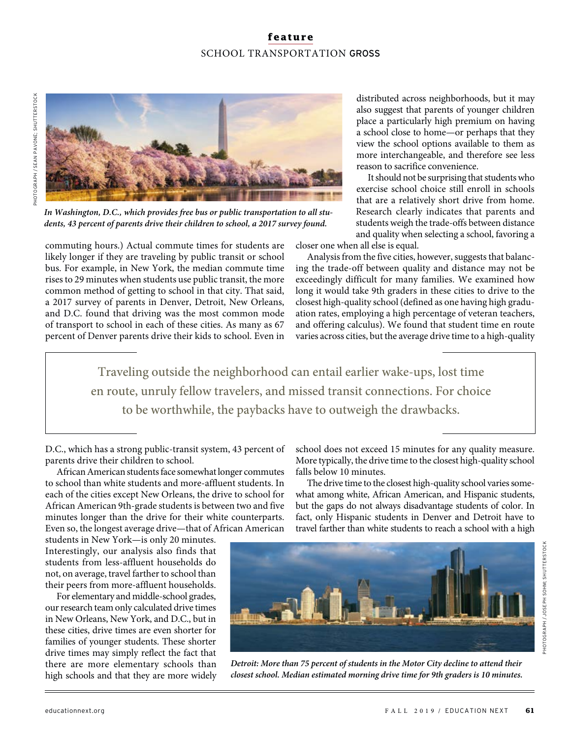# **feature** SCHOOL TRANSPORTATION GROSS



*In Washington, D.C., which provides free bus or public transportation to all students, 43 percent of parents drive their children to school, a 2017 survey found.*

commuting hours.) Actual commute times for students are likely longer if they are traveling by public transit or school bus. For example, in New York, the median commute time rises to 29 minutes when students use public transit, the more common method of getting to school in that city. That said, a 2017 survey of parents in Denver, Detroit, New Orleans, and D.C. found that driving was the most common mode of transport to school in each of these cities. As many as 67 percent of Denver parents drive their kids to school. Even in

distributed across neighborhoods, but it may also suggest that parents of younger children place a particularly high premium on having a school close to home—or perhaps that they view the school options available to them as more interchangeable, and therefore see less reason to sacrifice convenience.

It should not be surprising that students who exercise school choice still enroll in schools that are a relatively short drive from home. Research clearly indicates that parents and students weigh the trade-offs between distance and quality when selecting a school, favoring a

closer one when all else is equal.

Analysis from the five cities, however, suggests that balancing the trade-off between quality and distance may not be exceedingly difficult for many families. We examined how long it would take 9th graders in these cities to drive to the closest high-quality school (defined as one having high graduation rates, employing a high percentage of veteran teachers, and offering calculus). We found that student time en route varies across cities, but the average drive time to a high-quality

Traveling outside the neighborhood can entail earlier wake-ups, lost time en route, unruly fellow travelers, and missed transit connections. For choice to be worthwhile, the paybacks have to outweigh the drawbacks.

D.C., which has a strong public-transit system, 43 percent of parents drive their children to school.

African American students face somewhat longer commutes to school than white students and more-affluent students. In each of the cities except New Orleans, the drive to school for African American 9th-grade students is between two and five minutes longer than the drive for their white counterparts. Even so, the longest average drive—that of African American

students in New York—is only 20 minutes. Interestingly, our analysis also finds that students from less-affluent households do not, on average, travel farther to school than their peers from more-affluent households.

For elementary and middle-school grades, our research team only calculated drive times in New Orleans, New York, and D.C., but in these cities, drive times are even shorter for families of younger students. These shorter drive times may simply reflect the fact that there are more elementary schools than high schools and that they are more widely school does not exceed 15 minutes for any quality measure. More typically, the drive time to the closest high-quality school falls below 10 minutes.

The drive time to the closest high-quality school varies somewhat among white, African American, and Hispanic students, but the gaps do not always disadvantage students of color. In fact, only Hispanic students in Denver and Detroit have to travel farther than white students to reach a school with a high



*Detroit: More than 75 percent of students in the Motor City decline to attend their closest school. Median estimated morning drive time for 9th graders is 10 minutes.*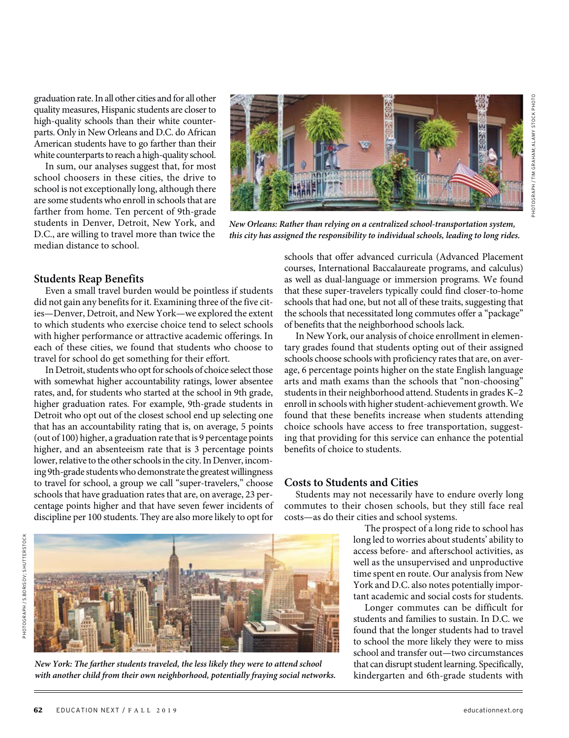graduation rate. In all other cities and for all other quality measures, Hispanic students are closer to high-quality schools than their white counterparts. Only in New Orleans and D.C. do African American students have to go farther than their white counterparts to reach a high-quality school.

In sum, our analyses suggest that, for most school choosers in these cities, the drive to school is not exceptionally long, although there are some students who enroll in schools that are farther from home. Ten percent of 9th-grade students in Denver, Detroit, New York, and D.C., are willing to travel more than twice the median distance to school.



*New Orleans: Rather than relying on a centralized school-transportation system, this city has assigned the responsibility to individual schools, leading to long rides.*

#### **Students Reap Benefits**

Even a small travel burden would be pointless if students did not gain any benefits for it. Examining three of the five cities—Denver, Detroit, and New York—we explored the extent to which students who exercise choice tend to select schools with higher performance or attractive academic offerings. In each of these cities, we found that students who choose to travel for school do get something for their effort.

In Detroit, students who opt for schools of choice select those with somewhat higher accountability ratings, lower absentee rates, and, for students who started at the school in 9th grade, higher graduation rates. For example, 9th-grade students in Detroit who opt out of the closest school end up selecting one that has an accountability rating that is, on average, 5 points (out of 100) higher, a graduation rate that is 9 percentage points higher, and an absenteeism rate that is 3 percentage points lower, relative to the other schools in the city. In Denver, incoming 9th-grade students who demonstrate the greatest willingness to travel for school, a group we call "super-travelers," choose schools that have graduation rates that are, on average, 23 percentage points higher and that have seven fewer incidents of discipline per 100 students. They are also more likely to opt for

schools that offer advanced curricula (Advanced Placement courses, International Baccalaureate programs, and calculus) as well as dual-language or immersion programs. We found that these super-travelers typically could find closer-to-home schools that had one, but not all of these traits, suggesting that the schools that necessitated long commutes offer a "package" of benefits that the neighborhood schools lack.

In New York, our analysis of choice enrollment in elementary grades found that students opting out of their assigned schools choose schools with proficiency rates that are, on average, 6 percentage points higher on the state English language arts and math exams than the schools that "non-choosing" students in their neighborhood attend. Students in grades K–2 enroll in schools with higher student-achievement growth. We found that these benefits increase when students attending choice schools have access to free transportation, suggesting that providing for this service can enhance the potential benefits of choice to students.

#### **Costs to Students and Cities**

Students may not necessarily have to endure overly long commutes to their chosen schools, but they still face real costs—as do their cities and school systems.

The prospect of a long ride to school has long led to worries about students' ability to access before- and afterschool activities, as well as the unsupervised and unproductive time spent en route. Our analysis from New York and D.C. also notes potentially important academic and social costs for students.

Longer commutes can be difficult for students and families to sustain. In D.C. we found that the longer students had to travel to school the more likely they were to miss school and transfer out—two circumstances that can disrupt student learning. Specifically, kindergarten and 6th-grade students with



*New York: The farther students traveled, the less likely they were to attend school with another child from their own neighborhood, potentially fraying social networks.*

PHOTOGRAPH / S.BORISOV; SHUTTERSTOCK

PHOTOGRAPH / S.BORISOV; SHUTTERSTOCK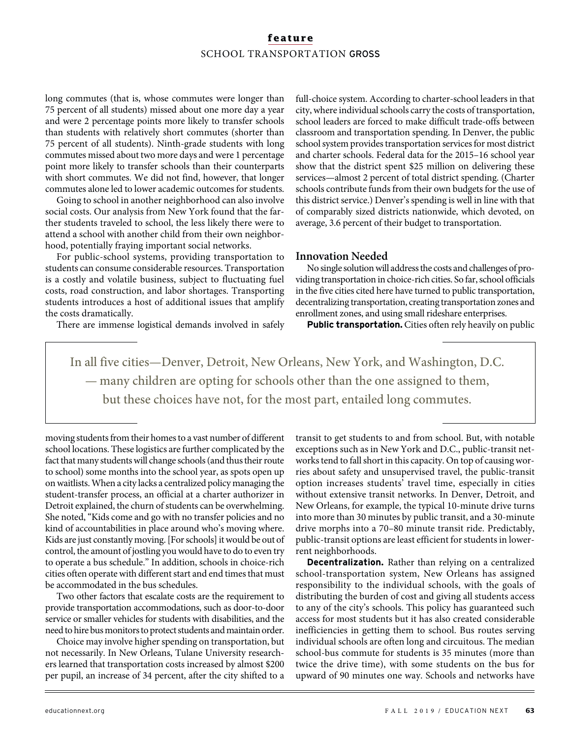## **feature** SCHOOL TRANSPORTATION GROSS

long commutes (that is, whose commutes were longer than 75 percent of all students) missed about one more day a year and were 2 percentage points more likely to transfer schools than students with relatively short commutes (shorter than 75 percent of all students). Ninth-grade students with long commutes missed about two more days and were 1 percentage point more likely to transfer schools than their counterparts with short commutes. We did not find, however, that longer commutes alone led to lower academic outcomes for students.

Going to school in another neighborhood can also involve social costs. Our analysis from New York found that the farther students traveled to school, the less likely there were to attend a school with another child from their own neighborhood, potentially fraying important social networks.

For public-school systems, providing transportation to students can consume considerable resources. Transportation is a costly and volatile business, subject to fluctuating fuel costs, road construction, and labor shortages. Transporting students introduces a host of additional issues that amplify the costs dramatically.

There are immense logistical demands involved in safely

full-choice system. According to charter-school leaders in that city, where individual schools carry the costs of transportation, school leaders are forced to make difficult trade-offs between classroom and transportation spending. In Denver, the public school system provides transportation services for most district and charter schools. Federal data for the 2015–16 school year show that the district spent \$25 million on delivering these services—almost 2 percent of total district spending. (Charter schools contribute funds from their own budgets for the use of this district service.) Denver's spending is well in line with that of comparably sized districts nationwide, which devoted, on average, 3.6 percent of their budget to transportation.

#### **Innovation Needed**

No single solution will address the costs and challenges of providing transportation in choice-rich cities. So far, school officials in the five cities cited here have turned to public transportation, decentralizing transportation, creating transportation zones and enrollment zones, and using small rideshare enterprises.

**Public transportation.** Cities often rely heavily on public

In all five cities—Denver, Detroit, New Orleans, New York, and Washington, D.C. — many children are opting for schools other than the one assigned to them, but these choices have not, for the most part, entailed long commutes.

moving students from their homes to a vast number of different school locations. These logistics are further complicated by the fact that many students will change schools (and thus their route to school) some months into the school year, as spots open up on waitlists. When a city lacks a centralized policy managing the student-transfer process, an official at a charter authorizer in Detroit explained, the churn of students can be overwhelming. She noted, "Kids come and go with no transfer policies and no kind of accountabilities in place around who's moving where. Kids are just constantly moving. [For schools] it would be out of control, the amount of jostling you would have to do to even try to operate a bus schedule." In addition, schools in choice-rich cities often operate with different start and end times that must be accommodated in the bus schedules.

Two other factors that escalate costs are the requirement to provide transportation accommodations, such as door-to-door service or smaller vehicles for students with disabilities, and the need to hire bus monitors to protect students and maintain order.

Choice may involve higher spending on transportation, but not necessarily. In New Orleans, Tulane University researchers learned that transportation costs increased by almost \$200 per pupil, an increase of 34 percent, after the city shifted to a

transit to get students to and from school. But, with notable exceptions such as in New York and D.C., public-transit networks tend to fall short in this capacity. On top of causing worries about safety and unsupervised travel, the public-transit option increases students' travel time, especially in cities without extensive transit networks. In Denver, Detroit, and New Orleans, for example, the typical 10-minute drive turns into more than 30 minutes by public transit, and a 30-minute drive morphs into a 70–80 minute transit ride. Predictably, public-transit options are least efficient for students in lowerrent neighborhoods.

**Decentralization.** Rather than relying on a centralized school-transportation system, New Orleans has assigned responsibility to the individual schools, with the goals of distributing the burden of cost and giving all students access to any of the city's schools. This policy has guaranteed such access for most students but it has also created considerable inefficiencies in getting them to school. Bus routes serving individual schools are often long and circuitous. The median school-bus commute for students is 35 minutes (more than twice the drive time), with some students on the bus for upward of 90 minutes one way. Schools and networks have